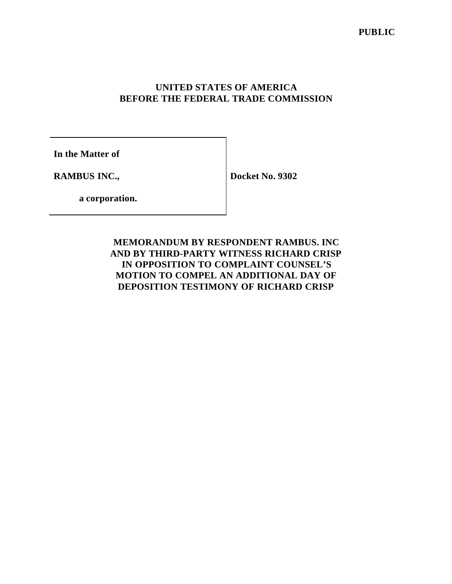# **UNITED STATES OF AMERICA BEFORE THE FEDERAL TRADE COMMISSION**

**In the Matter of**

**RAMBUS INC.,**

**Docket No. 9302**

**a corporation.**

# **MEMORANDUM BY RESPONDENT RAMBUS. INC AND BY THIRD-PARTY WITNESS RICHARD CRISP IN OPPOSITION TO COMPLAINT COUNSEL'S MOTION TO COMPEL AN ADDITIONAL DAY OF DEPOSITION TESTIMONY OF RICHARD CRISP**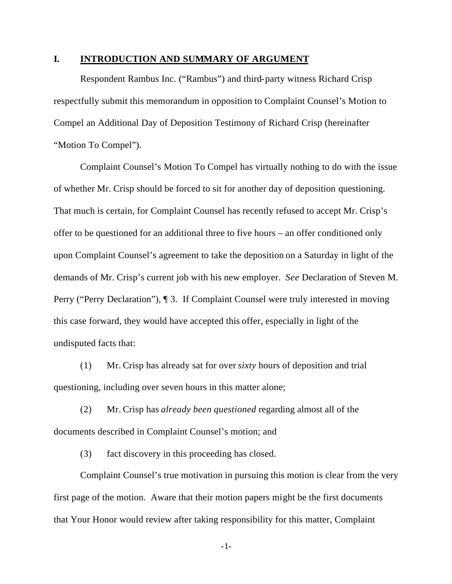## **I. INTRODUCTION AND SUMMARY OF ARGUMENT**

Respondent Rambus Inc. ("Rambus") and third-party witness Richard Crisp respectfully submit this memorandum in opposition to Complaint Counsel's Motion to Compel an Additional Day of Deposition Testimony of Richard Crisp (hereinafter "Motion To Compel").

Complaint Counsel's Motion To Compel has virtually nothing to do with the issue of whether Mr. Crisp should be forced to sit for another day of deposition questioning. That much is certain, for Complaint Counsel has recently refused to accept Mr. Crisp's offer to be questioned for an additional three to five hours – an offer conditioned only upon Complaint Counsel's agreement to take the deposition on a Saturday in light of the demands of Mr. Crisp's current job with his new employer. *See* Declaration of Steven M. Perry ("Perry Declaration"),  $\P$  3. If Complaint Counsel were truly interested in moving this case forward, they would have accepted this offer, especially in light of the undisputed facts that:

(1) Mr. Crisp has already sat for over *sixty* hours of deposition and trial questioning, including over seven hours in this matter alone;

(2) Mr. Crisp has *already been questioned* regarding almost all of the documents described in Complaint Counsel's motion; and

(3) fact discovery in this proceeding has closed.

Complaint Counsel's true motivation in pursuing this motion is clear from the very first page of the motion. Aware that their motion papers might be the first documents that Your Honor would review after taking responsibility for this matter, Complaint

-1-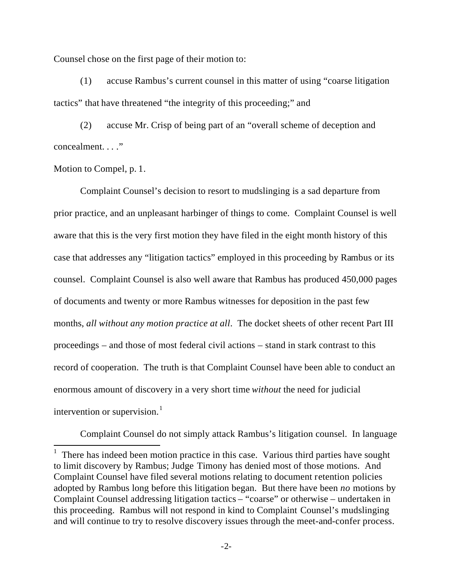Counsel chose on the first page of their motion to:

(1) accuse Rambus's current counsel in this matter of using "coarse litigation tactics" that have threatened "the integrity of this proceeding;" and

(2) accuse Mr. Crisp of being part of an "overall scheme of deception and concealment. . . ."

Motion to Compel, p. 1.

 $\overline{a}$ 

Complaint Counsel's decision to resort to mudslinging is a sad departure from prior practice, and an unpleasant harbinger of things to come. Complaint Counsel is well aware that this is the very first motion they have filed in the eight month history of this case that addresses any "litigation tactics" employed in this proceeding by Rambus or its counsel. Complaint Counsel is also well aware that Rambus has produced 450,000 pages of documents and twenty or more Rambus witnesses for deposition in the past few months, *all without any motion practice at all*. The docket sheets of other recent Part III proceedings – and those of most federal civil actions – stand in stark contrast to this record of cooperation. The truth is that Complaint Counsel have been able to conduct an enormous amount of discovery in a very short time *without* the need for judicial intervention or supervision. $<sup>1</sup>$ </sup>

Complaint Counsel do not simply attack Rambus's litigation counsel. In language

<sup>1</sup> There has indeed been motion practice in this case. Various third parties have sought to limit discovery by Rambus; Judge Timony has denied most of those motions. And Complaint Counsel have filed several motions relating to document retention policies adopted by Rambus long before this litigation began. But there have been *no* motions by Complaint Counsel addressing litigation tactics – "coarse" or otherwise – undertaken in this proceeding. Rambus will not respond in kind to Complaint Counsel's mudslinging and will continue to try to resolve discovery issues through the meet-and-confer process.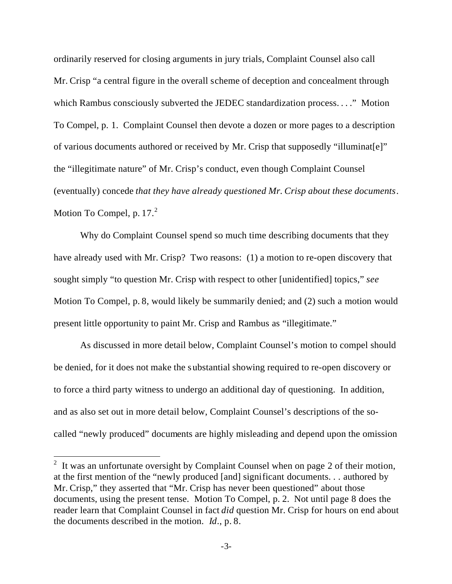ordinarily reserved for closing arguments in jury trials, Complaint Counsel also call Mr. Crisp "a central figure in the overall scheme of deception and concealment through which Rambus consciously subverted the JEDEC standardization process. . . ." Motion To Compel, p. 1. Complaint Counsel then devote a dozen or more pages to a description of various documents authored or received by Mr. Crisp that supposedly "illuminat[e]" the "illegitimate nature" of Mr. Crisp's conduct, even though Complaint Counsel (eventually) concede *that they have already questioned Mr. Crisp about these documents*. Motion To Compel, p.  $17<sup>2</sup>$ 

Why do Complaint Counsel spend so much time describing documents that they have already used with Mr. Crisp? Two reasons: (1) a motion to re-open discovery that sought simply "to question Mr. Crisp with respect to other [unidentified] topics," *see* Motion To Compel, p. 8, would likely be summarily denied; and (2) such a motion would present little opportunity to paint Mr. Crisp and Rambus as "illegitimate."

As discussed in more detail below, Complaint Counsel's motion to compel should be denied, for it does not make the s ubstantial showing required to re-open discovery or to force a third party witness to undergo an additional day of questioning. In addition, and as also set out in more detail below, Complaint Counsel's descriptions of the socalled "newly produced" documents are highly misleading and depend upon the omission

<sup>&</sup>lt;sup>2</sup> It was an unfortunate oversight by Complaint Counsel when on page 2 of their motion, at the first mention of the "newly produced [and] significant documents. . . authored by Mr. Crisp," they asserted that "Mr. Crisp has never been questioned" about those documents, using the present tense. Motion To Compel, p. 2. Not until page 8 does the reader learn that Complaint Counsel in fact *did* question Mr. Crisp for hours on end about the documents described in the motion. *Id*., p. 8.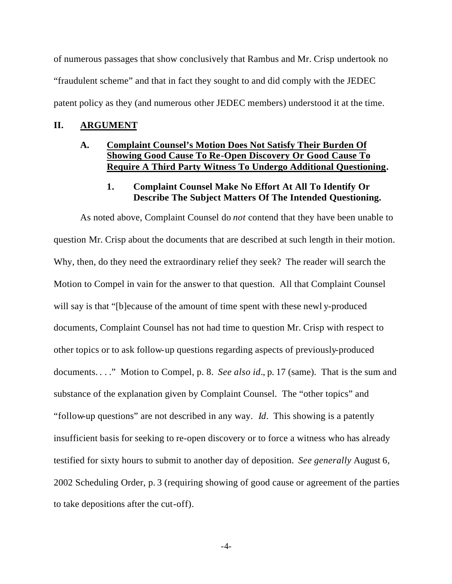of numerous passages that show conclusively that Rambus and Mr. Crisp undertook no "fraudulent scheme" and that in fact they sought to and did comply with the JEDEC patent policy as they (and numerous other JEDEC members) understood it at the time.

#### **II. ARGUMENT**

## **A. Complaint Counsel's Motion Does Not Satisfy Their Burden Of Showing Good Cause To Re-Open Discovery Or Good Cause To Require A Third Party Witness To Undergo Additional Questioning.**

# **1. Complaint Counsel Make No Effort At All To Identify Or Describe The Subject Matters Of The Intended Questioning.**

As noted above, Complaint Counsel do *not* contend that they have been unable to question Mr. Crisp about the documents that are described at such length in their motion. Why, then, do they need the extraordinary relief they seek? The reader will search the Motion to Compel in vain for the answer to that question. All that Complaint Counsel will say is that "[b]ecause of the amount of time spent with these newl y-produced documents, Complaint Counsel has not had time to question Mr. Crisp with respect to other topics or to ask follow-up questions regarding aspects of previously-produced documents. . . . " Motion to Compel, p. 8. *See also id.*, p. 17 (same). That is the sum and substance of the explanation given by Complaint Counsel. The "other topics" and "follow-up questions" are not described in any way. *Id*. This showing is a patently insufficient basis for seeking to re-open discovery or to force a witness who has already testified for sixty hours to submit to another day of deposition. *See generally* August 6, 2002 Scheduling Order, p. 3 (requiring showing of good cause or agreement of the parties to take depositions after the cut-off).

-4-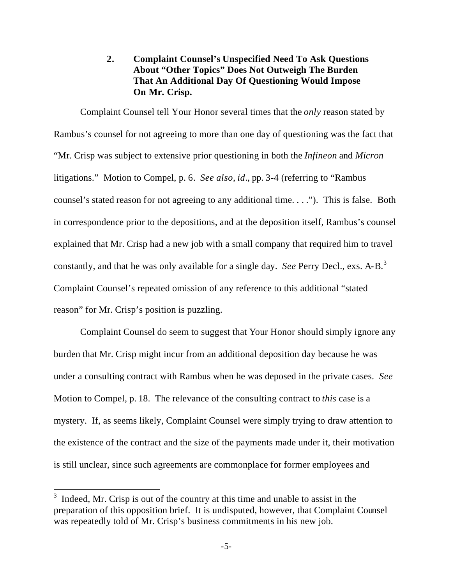# **2. Complaint Counsel's Unspecified Need To Ask Questions About "Other Topics" Does Not Outweigh The Burden That An Additional Day Of Questioning Would Impose On Mr. Crisp.**

Complaint Counsel tell Your Honor several times that the *only* reason stated by Rambus's counsel for not agreeing to more than one day of questioning was the fact that "Mr. Crisp was subject to extensive prior questioning in both the *Infineon* and *Micron* litigations." Motion to Compel, p. 6. *See also*, *id*., pp. 3-4 (referring to "Rambus counsel's stated reason for not agreeing to any additional time. . . ."). This is false. Both in correspondence prior to the depositions, and at the deposition itself, Rambus's counsel explained that Mr. Crisp had a new job with a small company that required him to travel constantly, and that he was only available for a single day. *See* Perry Decl., exs. A-B.<sup>3</sup> Complaint Counsel's repeated omission of any reference to this additional "stated reason" for Mr. Crisp's position is puzzling.

Complaint Counsel do seem to suggest that Your Honor should simply ignore any burden that Mr. Crisp might incur from an additional deposition day because he was under a consulting contract with Rambus when he was deposed in the private cases. *See* Motion to Compel, p. 18. The relevance of the consulting contract to *this* case is a mystery. If, as seems likely, Complaint Counsel were simply trying to draw attention to the existence of the contract and the size of the payments made under it, their motivation is still unclear, since such agreements are commonplace for former employees and

 $3$  Indeed, Mr. Crisp is out of the country at this time and unable to assist in the preparation of this opposition brief. It is undisputed, however, that Complaint Counsel was repeatedly told of Mr. Crisp's business commitments in his new job.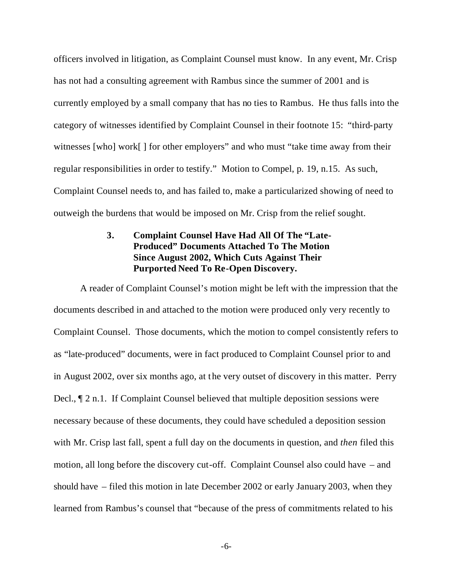officers involved in litigation, as Complaint Counsel must know. In any event, Mr. Crisp has not had a consulting agreement with Rambus since the summer of 2001 and is currently employed by a small company that has no ties to Rambus. He thus falls into the category of witnesses identified by Complaint Counsel in their footnote 15: "third-party witnesses [who] work[] for other employers" and who must "take time away from their regular responsibilities in order to testify." Motion to Compel, p. 19, n.15. As such, Complaint Counsel needs to, and has failed to, make a particularized showing of need to outweigh the burdens that would be imposed on Mr. Crisp from the relief sought.

# **3. Complaint Counsel Have Had All Of The "Late-Produced" Documents Attached To The Motion Since August 2002, Which Cuts Against Their Purported Need To Re-Open Discovery.**

A reader of Complaint Counsel's motion might be left with the impression that the documents described in and attached to the motion were produced only very recently to Complaint Counsel. Those documents, which the motion to compel consistently refers to as "late-produced" documents, were in fact produced to Complaint Counsel prior to and in August 2002, over six months ago, at the very outset of discovery in this matter. Perry Decl., ¶ 2 n.1. If Complaint Counsel believed that multiple deposition sessions were necessary because of these documents, they could have scheduled a deposition session with Mr. Crisp last fall, spent a full day on the documents in question, and *then* filed this motion, all long before the discovery cut-off. Complaint Counsel also could have – and should have – filed this motion in late December 2002 or early January 2003, when they learned from Rambus's counsel that "because of the press of commitments related to his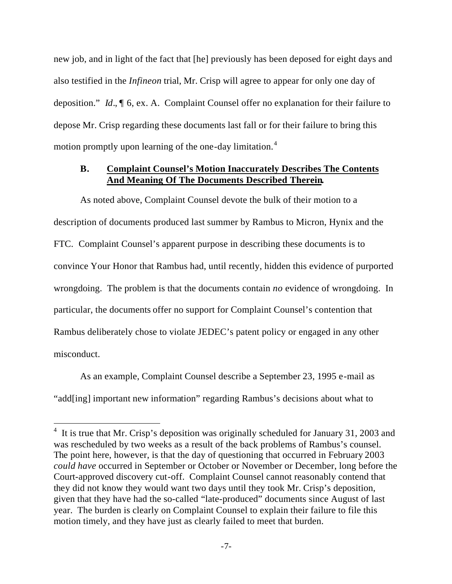new job, and in light of the fact that [he] previously has been deposed for eight days and also testified in the *Infineon* trial, Mr. Crisp will agree to appear for only one day of deposition." *Id*., ¶ 6, ex. A. Complaint Counsel offer no explanation for their failure to depose Mr. Crisp regarding these documents last fall or for their failure to bring this motion promptly upon learning of the one-day limitation.<sup>4</sup>

### **B. Complaint Counsel's Motion Inaccurately Describes The Contents And Meaning Of The Documents Described Therein.**

As noted above, Complaint Counsel devote the bulk of their motion to a description of documents produced last summer by Rambus to Micron, Hynix and the FTC. Complaint Counsel's apparent purpose in describing these documents is to convince Your Honor that Rambus had, until recently, hidden this evidence of purported wrongdoing. The problem is that the documents contain *no* evidence of wrongdoing. In particular, the documents offer no support for Complaint Counsel's contention that Rambus deliberately chose to violate JEDEC's patent policy or engaged in any other misconduct.

As an example, Complaint Counsel describe a September 23, 1995 e-mail as "add[ing] important new information" regarding Rambus's decisions about what to

<sup>&</sup>lt;sup>4</sup> It is true that Mr. Crisp's deposition was originally scheduled for January 31, 2003 and was rescheduled by two weeks as a result of the back problems of Rambus's counsel. The point here, however, is that the day of questioning that occurred in February 2003 *could have* occurred in September or October or November or December, long before the Court-approved discovery cut-off. Complaint Counsel cannot reasonably contend that they did not know they would want two days until they took Mr. Crisp's deposition, given that they have had the so-called "late-produced" documents since August of last year. The burden is clearly on Complaint Counsel to explain their failure to file this motion timely, and they have just as clearly failed to meet that burden.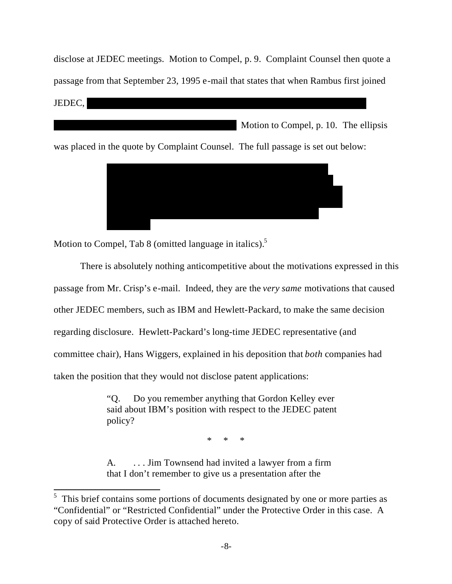disclose at JEDEC meetings. Motion to Compel, p. 9. Complaint Counsel then quote a passage from that September 23, 1995 e-mail that states that when Rambus first joined  $JEDEC,$ 

\*\*\*\*\*\*\*\*\*\*\*\*\*\*\*\*\*\*\*\*\*\*\*\*\*\*\*\*\*\*\*\*\*\*\*\*\*\* Motion to Compel, p. 10. The ellipsis

was placed in the quote by Complaint Counsel. The full passage is set out below:



Motion to Compel, Tab 8 (omitted language in italics).<sup>5</sup>

 $\overline{a}$ 

There is absolutely nothing anticompetitive about the motivations expressed in this passage from Mr. Crisp's e-mail. Indeed, they are the *very same* motivations that caused other JEDEC members, such as IBM and Hewlett-Packard, to make the same decision regarding disclosure. Hewlett-Packard's long-time JEDEC representative (and committee chair), Hans Wiggers, explained in his deposition that *both* companies had taken the position that they would not disclose patent applications:

> "Q. Do you remember anything that Gordon Kelley ever said about IBM's position with respect to the JEDEC patent policy?

> > \* \* \*

A. . . . Jim Townsend had invited a lawyer from a firm that I don't remember to give us a presentation after the

 $5$  This brief contains some portions of documents designated by one or more parties as "Confidential" or "Restricted Confidential" under the Protective Order in this case. A copy of said Protective Order is attached hereto.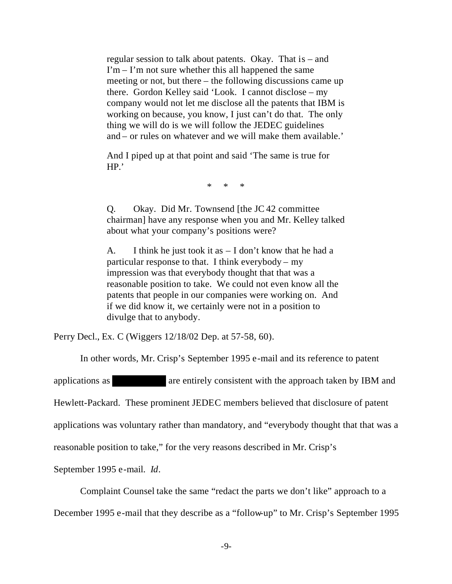regular session to talk about patents. Okay. That is – and  $\Gamma$ m –  $\Gamma$ m not sure whether this all happened the same meeting or not, but there – the following discussions came up there. Gordon Kelley said 'Look. I cannot disclose – my company would not let me disclose all the patents that IBM is working on because, you know, I just can't do that. The only thing we will do is we will follow the JEDEC guidelines and – or rules on whatever and we will make them available.'

And I piped up at that point and said 'The same is true for HP.'

\* \* \*

Q. Okay. Did Mr. Townsend [the JC 42 committee chairman] have any response when you and Mr. Kelley talked about what your company's positions were?

A. I think he just took it as  $- I$  don't know that he had a particular response to that. I think everybody – my impression was that everybody thought that that was a reasonable position to take. We could not even know all the patents that people in our companies were working on. And if we did know it, we certainly were not in a position to divulge that to anybody.

Perry Decl., Ex. C (Wiggers 12/18/02 Dep. at 57-58, 60).

In other words, Mr. Crisp's September 1995 e-mail and its reference to patent

applications as \*\*\*\*\*\*\*\*\*\*\* are entirely consistent with the approach taken by IBM and

Hewlett-Packard. These prominent JEDEC members believed that disclosure of patent

applications was voluntary rather than mandatory, and "everybody thought that that was a

reasonable position to take," for the very reasons described in Mr. Crisp's

September 1995 e-mail. *Id*.

Complaint Counsel take the same "redact the parts we don't like" approach to a

December 1995 e-mail that they describe as a "follow-up" to Mr. Crisp's September 1995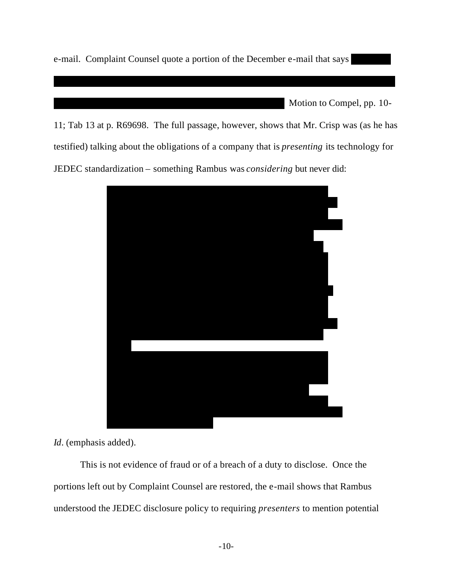e-mail. Complaint Counsel quote a portion of the December e-mail that says

Motion to Compel, pp. 10-

11; Tab 13 at p. R69698. The full passage, however, shows that Mr. Crisp was (as he has testified) talking about the obligations of a company that is *presenting* its technology for JEDEC standardization – something Rambus was *considering* but never did:

\*\*\*\*\*\*\*\*\*\*\*\*\*\*\*\*\*\*\*\*\*\*\*\*\*\*\*\*\*\*\*\*\*\*\*\*\*\*\*\*\*\*\*\*\*\*\*\*\*\*\*\*\*\*\*\*\*\*\*\*\*\*\*\*\*\*\*\*\*\*\*



*Id*. (emphasis added).

This is not evidence of fraud or of a breach of a duty to disclose. Once the portions left out by Complaint Counsel are restored, the e-mail shows that Rambus understood the JEDEC disclosure policy to requiring *presenters* to mention potential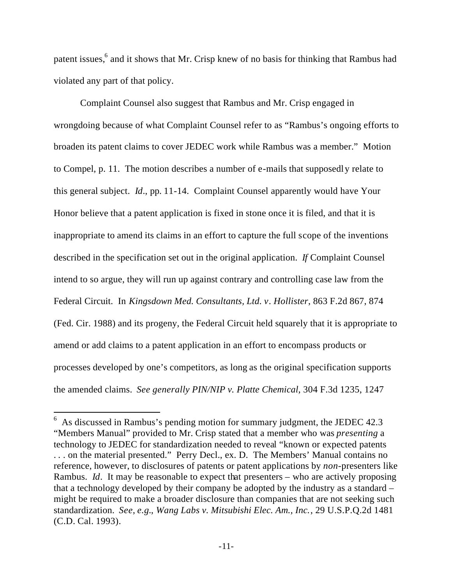patent issues,<sup>6</sup> and it shows that Mr. Crisp knew of no basis for thinking that Rambus had violated any part of that policy.

Complaint Counsel also suggest that Rambus and Mr. Crisp engaged in wrongdoing because of what Complaint Counsel refer to as "Rambus's ongoing efforts to broaden its patent claims to cover JEDEC work while Rambus was a member." Motion to Compel, p. 11. The motion describes a number of e-mails that supposedly relate to this general subject. *Id*., pp. 11-14. Complaint Counsel apparently would have Your Honor believe that a patent application is fixed in stone once it is filed, and that it is inappropriate to amend its claims in an effort to capture the full scope of the inventions described in the specification set out in the original application. *If* Complaint Counsel intend to so argue, they will run up against contrary and controlling case law from the Federal Circuit. In *Kingsdown Med. Consultants, Ltd. v. Hollister*, 863 F.2d 867, 874 (Fed. Cir. 1988) and its progeny, the Federal Circuit held squarely that it is appropriate to amend or add claims to a patent application in an effort to encompass products or processes developed by one's competitors, as long as the original specification supports the amended claims. *See generally PIN/NIP v. Platte Chemical*, 304 F.3d 1235, 1247

 $6\text{ As discussed in Rambus's pending motion for summary judgment, the JEDEC } 42.3\text{ }$ "Members Manual" provided to Mr. Crisp stated that a member who was *presenting* a technology to JEDEC for standardization needed to reveal "known or expected patents . . . on the material presented." Perry Decl., ex. D. The Members' Manual contains no reference, however, to disclosures of patents or patent applications by *non*-presenters like Rambus. *Id*. It may be reasonable to expect that presenters – who are actively proposing that a technology developed by their company be adopted by the industry as a standard – might be required to make a broader disclosure than companies that are not seeking such standardization. *See*, *e.g.*, *Wang Labs v. Mitsubishi Elec. Am., Inc.*, 29 U.S.P.Q.2d 1481 (C.D. Cal. 1993).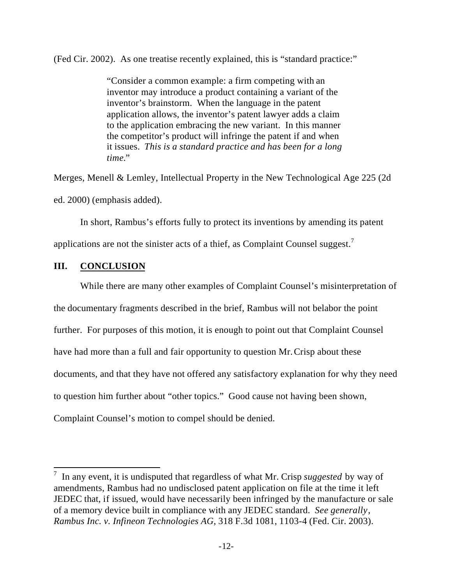(Fed Cir. 2002). As one treatise recently explained, this is "standard practice:"

"Consider a common example: a firm competing with an inventor may introduce a product containing a variant of the inventor's brainstorm. When the language in the patent application allows, the inventor's patent lawyer adds a claim to the application embracing the new variant. In this manner the competitor's product will infringe the patent if and when it issues. *This is a standard practice and has been for a long time.*"

Merges, Menell & Lemley, Intellectual Property in the New Technological Age 225 (2d ed. 2000) (emphasis added).

In short, Rambus's efforts fully to protect its inventions by amending its patent applications are not the sinister acts of a thief, as Complaint Counsel suggest.<sup>7</sup>

# **III. CONCLUSION**

While there are many other examples of Complaint Counsel's misinterpretation of the documentary fragments described in the brief, Rambus will not belabor the point further. For purposes of this motion, it is enough to point out that Complaint Counsel have had more than a full and fair opportunity to question Mr.Crisp about these documents, and that they have not offered any satisfactory explanation for why they need to question him further about "other topics." Good cause not having been shown, Complaint Counsel's motion to compel should be denied.

 7 In any event, it is undisputed that regardless of what Mr. Crisp *suggested* by way of amendments, Rambus had no undisclosed patent application on file at the time it left JEDEC that, if issued, would have necessarily been infringed by the manufacture or sale of a memory device built in compliance with any JEDEC standard. *See generally*, *Rambus Inc. v. Infineon Technologies AG*, 318 F.3d 1081, 1103-4 (Fed. Cir. 2003).